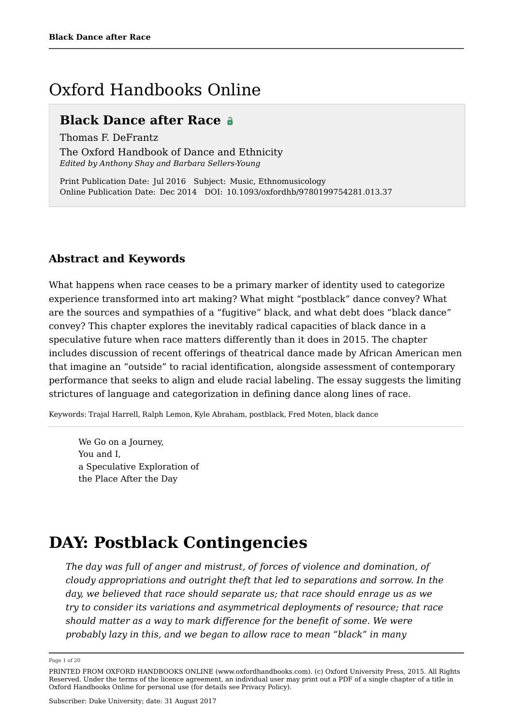# Oxford Handbooks Online

### **Black Dance after Race**

Thomas F. DeFrantz

The Oxford Handbook of Dance and Ethnicity *Edited by Anthony Shay and Barbara Sellers-Young*

Print Publication Date: Jul 2016 Subject: Music, Ethnomusicology Online Publication Date: Dec 2014 DOI: 10.1093/oxfordhb/9780199754281.013.37

### **Abstract and Keywords**

What happens when race ceases to be a primary marker of identity used to categorize experience transformed into art making? What might "postblack" dance convey? What are the sources and sympathies of a "fugitive" black, and what debt does "black dance" convey? This chapter explores the inevitably radical capacities of black dance in a speculative future when race matters differently than it does in 2015. The chapter includes discussion of recent offerings of theatrical dance made by African American men that imagine an "outside" to racial identification, alongside assessment of contemporary performance that seeks to align and elude racial labeling. The essay suggests the limiting strictures of language and categorization in defining dance along lines of race.

Keywords: Trajal Harrell, Ralph Lemon, Kyle Abraham, postblack, Fred Moten, black dance

We Go on a Journey, You and I, a Speculative Exploration of the Place After the Day

# **DAY: Postblack Contingencies**

*The day was full of anger and mistrust, of forces of violence and domination, of cloudy appropriations and outright theft that led to separations and sorrow. In the day, we believed that race should separate us; that race should enrage us as we try to consider its variations and asymmetrical deployments of resource; that race should matter as a way to mark difference for the benefit of some. We were probably lazy in this, and we began to allow race to mean "black" in many*

Page 1 of 20

PRINTED FROM OXFORD HANDBOOKS ONLINE (www.oxfordhandbooks.com). (c) Oxford University Press, 2015. All Rights Reserved. Under the terms of the licence agreement, an individual user may print out a PDF of a single chapter of a title in Oxford Handbooks Online for personal use (for details see Privacy Policy).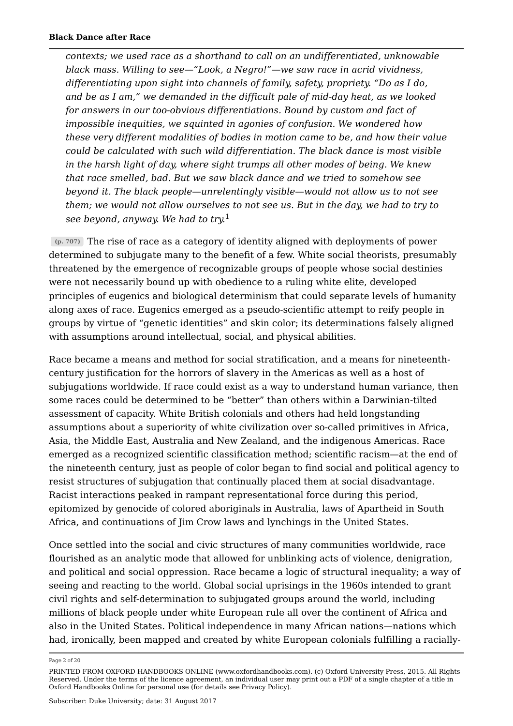*contexts; we used race as a shorthand to call on an undifferentiated, unknowable black mass. Willing to see—"Look, a Negro!"—we saw race in acrid vividness, differentiating upon sight into channels of family, safety, propriety. "Do as I do, and be as I am," we demanded in the difficult pale of mid-day heat, as we looked for answers in our too-obvious differentiations. Bound by custom and fact of impossible inequities, we squinted in agonies of confusion. We wondered how these very different modalities of bodies in motion came to be, and how their value could be calculated with such wild differentiation. The black dance is most visible in the harsh light of day, where sight trumps all other modes of being. We knew that race smelled, bad. But we saw black dance and we tried to somehow see beyond it. The black people—unrelentingly visible—would not allow us to not see them; we would not allow ourselves to not see us. But in the day, we had to try to see beyond, anyway. We had to try.* 1

The rise of race as a category of identity aligned with deployments of power **(p. 707)** determined to subjugate many to the benefit of a few. White social theorists, presumably threatened by the emergence of recognizable groups of people whose social destinies were not necessarily bound up with obedience to a ruling white elite, developed principles of eugenics and biological determinism that could separate levels of humanity along axes of race. Eugenics emerged as a pseudo-scientific attempt to reify people in groups by virtue of "genetic identities" and skin color; its determinations falsely aligned with assumptions around intellectual, social, and physical abilities.

Race became a means and method for social stratification, and a means for nineteenthcentury justification for the horrors of slavery in the Americas as well as a host of subjugations worldwide. If race could exist as a way to understand human variance, then some races could be determined to be "better" than others within a Darwinian-tilted assessment of capacity. White British colonials and others had held longstanding assumptions about a superiority of white civilization over so-called primitives in Africa, Asia, the Middle East, Australia and New Zealand, and the indigenous Americas. Race emerged as a recognized scientific classification method; scientific racism—at the end of the nineteenth century, just as people of color began to find social and political agency to resist structures of subjugation that continually placed them at social disadvantage. Racist interactions peaked in rampant representational force during this period, epitomized by genocide of colored aboriginals in Australia, laws of Apartheid in South Africa, and continuations of Jim Crow laws and lynchings in the United States.

Once settled into the social and civic structures of many communities worldwide, race flourished as an analytic mode that allowed for unblinking acts of violence, denigration, and political and social oppression. Race became a logic of structural inequality; a way of seeing and reacting to the world. Global social uprisings in the 1960s intended to grant civil rights and self-determination to subjugated groups around the world, including millions of black people under white European rule all over the continent of Africa and also in the United States. Political independence in many African nations—nations which had, ironically, been mapped and created by white European colonials fulfilling a racially-

Page 2 of 20

PRINTED FROM OXFORD HANDBOOKS ONLINE (www.oxfordhandbooks.com). (c) Oxford University Press, 2015. All Rights Reserved. Under the terms of the licence agreement, an individual user may print out a PDF of a single chapter of a title in Oxford Handbooks Online for personal use (for details see Privacy Policy).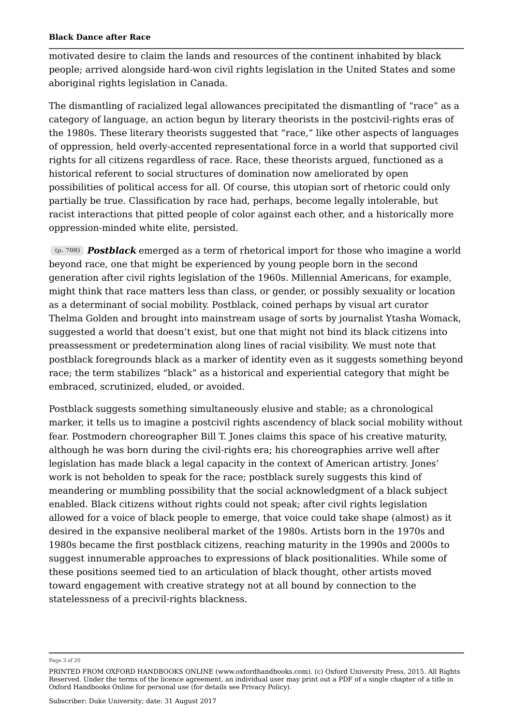motivated desire to claim the lands and resources of the continent inhabited by black people; arrived alongside hard-won civil rights legislation in the United States and some aboriginal rights legislation in Canada.

The dismantling of racialized legal allowances precipitated the dismantling of "race" as a category of language, an action begun by literary theorists in the postcivil-rights eras of the 1980s. These literary theorists suggested that "race," like other aspects of languages of oppression, held overly-accented representational force in a world that supported civil rights for all citizens regardless of race. Race, these theorists argued, functioned as a historical referent to social structures of domination now ameliorated by open possibilities of political access for all. Of course, this utopian sort of rhetoric could only partially be true. Classification by race had, perhaps, become legally intolerable, but racist interactions that pitted people of color against each other, and a historically more oppression-minded white elite, persisted.

*Postblack* emerged as a term of rhetorical import for those who imagine a world **(p. 708)** beyond race, one that might be experienced by young people born in the second generation after civil rights legislation of the 1960s. Millennial Americans, for example, might think that race matters less than class, or gender, or possibly sexuality or location as a determinant of social mobility. Postblack, coined perhaps by visual art curator Thelma Golden and brought into mainstream usage of sorts by journalist Ytasha Womack, suggested a world that doesn't exist, but one that might not bind its black citizens into preassessment or predetermination along lines of racial visibility. We must note that postblack foregrounds black as a marker of identity even as it suggests something beyond race; the term stabilizes "black" as a historical and experiential category that might be embraced, scrutinized, eluded, or avoided.

Postblack suggests something simultaneously elusive and stable; as a chronological marker, it tells us to imagine a postcivil rights ascendency of black social mobility without fear. Postmodern choreographer Bill T. Jones claims this space of his creative maturity, although he was born during the civil-rights era; his choreographies arrive well after legislation has made black a legal capacity in the context of American artistry. Jones' work is not beholden to speak for the race; postblack surely suggests this kind of meandering or mumbling possibility that the social acknowledgment of a black subject enabled. Black citizens without rights could not speak; after civil rights legislation allowed for a voice of black people to emerge, that voice could take shape (almost) as it desired in the expansive neoliberal market of the 1980s. Artists born in the 1970s and 1980s became the first postblack citizens, reaching maturity in the 1990s and 2000s to suggest innumerable approaches to expressions of black positionalities. While some of these positions seemed tied to an articulation of black thought, other artists moved toward engagement with creative strategy not at all bound by connection to the statelessness of a precivil-rights blackness.

Page 3 of 20

PRINTED FROM OXFORD HANDBOOKS ONLINE (www.oxfordhandbooks.com). (c) Oxford University Press, 2015. All Rights Reserved. Under the terms of the licence agreement, an individual user may print out a PDF of a single chapter of a title in Oxford Handbooks Online for personal use (for details see Privacy Policy).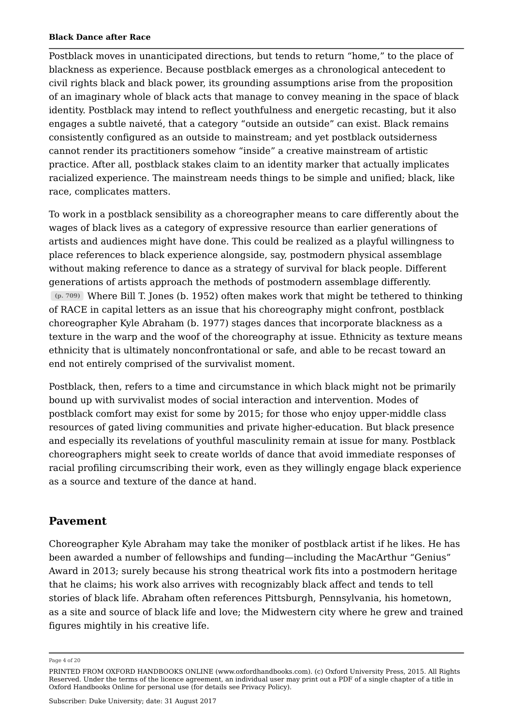Postblack moves in unanticipated directions, but tends to return "home," to the place of blackness as experience. Because postblack emerges as a chronological antecedent to civil rights black and black power, its grounding assumptions arise from the proposition of an imaginary whole of black acts that manage to convey meaning in the space of black identity. Postblack may intend to reflect youthfulness and energetic recasting, but it also engages a subtle naiveté, that a category "outside an outside" can exist. Black remains consistently configured as an outside to mainstream; and yet postblack outsiderness cannot render its practitioners somehow "inside" a creative mainstream of artistic practice. After all, postblack stakes claim to an identity marker that actually implicates racialized experience. The mainstream needs things to be simple and unified; black, like race, complicates matters.

To work in a postblack sensibility as a choreographer means to care differently about the wages of black lives as a category of expressive resource than earlier generations of artists and audiences might have done. This could be realized as a playful willingness to place references to black experience alongside, say, postmodern physical assemblage without making reference to dance as a strategy of survival for black people. Different generations of artists approach the methods of postmodern assemblage differently. Where Bill T. Jones (b. 1952) often makes work that might be tethered to thinking **(p. 709)** of RACE in capital letters as an issue that his choreography might confront, postblack choreographer Kyle Abraham (b. 1977) stages dances that incorporate blackness as a texture in the warp and the woof of the choreography at issue. Ethnicity as texture means ethnicity that is ultimately nonconfrontational or safe, and able to be recast toward an end not entirely comprised of the survivalist moment.

Postblack, then, refers to a time and circumstance in which black might not be primarily bound up with survivalist modes of social interaction and intervention. Modes of postblack comfort may exist for some by 2015; for those who enjoy upper-middle class resources of gated living communities and private higher-education. But black presence and especially its revelations of youthful masculinity remain at issue for many. Postblack choreographers might seek to create worlds of dance that avoid immediate responses of racial profiling circumscribing their work, even as they willingly engage black experience as a source and texture of the dance at hand.

### **Pavement**

Choreographer Kyle Abraham may take the moniker of postblack artist if he likes. He has been awarded a number of fellowships and funding—including the MacArthur "Genius" Award in 2013; surely because his strong theatrical work fits into a postmodern heritage that he claims; his work also arrives with recognizably black affect and tends to tell stories of black life. Abraham often references Pittsburgh, Pennsylvania, his hometown, as a site and source of black life and love; the Midwestern city where he grew and trained figures mightily in his creative life.

Page 4 of 20

PRINTED FROM OXFORD HANDBOOKS ONLINE (www.oxfordhandbooks.com). (c) Oxford University Press, 2015. All Rights Reserved. Under the terms of the licence agreement, an individual user may print out a PDF of a single chapter of a title in Oxford Handbooks Online for personal use (for details see Privacy Policy).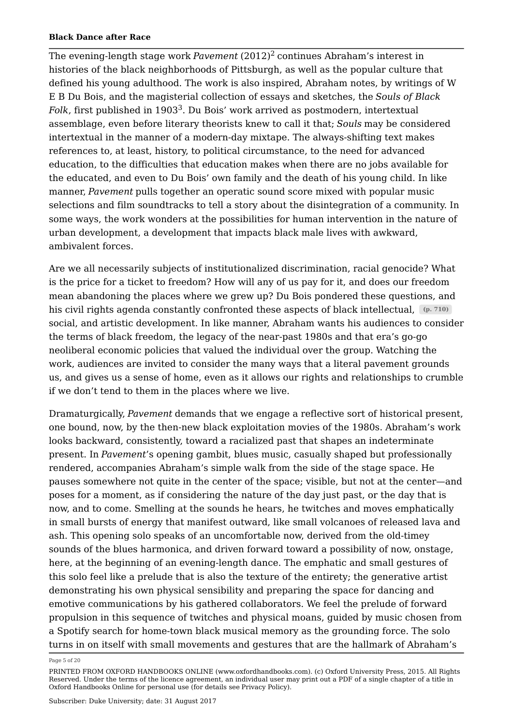The evening-length stage work *Pavement* (2012)<sup>2</sup> continues Abraham's interest in histories of the black neighborhoods of Pittsburgh, as well as the popular culture that defined his young adulthood. The work is also inspired, Abraham notes, by writings of W E B Du Bois, and the magisterial collection of essays and sketches, the *Souls of Black Folk,* first published in 1903 $^3$ . Du Bois' work arrived as postmodern, intertextual assemblage, even before literary theorists knew to call it that; *Souls* may be considered intertextual in the manner of a modern-day mixtape. The always-shifting text makes references to, at least, history, to political circumstance, to the need for advanced education, to the difficulties that education makes when there are no jobs available for the educated, and even to Du Bois' own family and the death of his young child. In like manner, *Pavement* pulls together an operatic sound score mixed with popular music selections and film soundtracks to tell a story about the disintegration of a community. In some ways, the work wonders at the possibilities for human intervention in the nature of urban development, a development that impacts black male lives with awkward, ambivalent forces.

Are we all necessarily subjects of institutionalized discrimination, racial genocide? What is the price for a ticket to freedom? How will any of us pay for it, and does our freedom mean abandoning the places where we grew up? Du Bois pondered these questions, and his civil rights agenda constantly confronted these aspects of black intellectual, (p. 710) social, and artistic development. In like manner, Abraham wants his audiences to consider the terms of black freedom, the legacy of the near-past 1980s and that era's go-go neoliberal economic policies that valued the individual over the group. Watching the work, audiences are invited to consider the many ways that a literal pavement grounds us, and gives us a sense of home, even as it allows our rights and relationships to crumble if we don't tend to them in the places where we live.

Dramaturgically, *Pavement* demands that we engage a reflective sort of historical present, one bound, now, by the then-new black exploitation movies of the 1980s. Abraham's work looks backward, consistently, toward a racialized past that shapes an indeterminate present. In *Pavement*'s opening gambit, blues music, casually shaped but professionally rendered, accompanies Abraham's simple walk from the side of the stage space. He pauses somewhere not quite in the center of the space; visible, but not at the center—and poses for a moment, as if considering the nature of the day just past, or the day that is now, and to come. Smelling at the sounds he hears, he twitches and moves emphatically in small bursts of energy that manifest outward, like small volcanoes of released lava and ash. This opening solo speaks of an uncomfortable now, derived from the old-timey sounds of the blues harmonica, and driven forward toward a possibility of now, onstage, here, at the beginning of an evening-length dance. The emphatic and small gestures of this solo feel like a prelude that is also the texture of the entirety; the generative artist demonstrating his own physical sensibility and preparing the space for dancing and emotive communications by his gathered collaborators. We feel the prelude of forward propulsion in this sequence of twitches and physical moans, guided by music chosen from a Spotify search for home-town black musical memory as the grounding force. The solo turns in on itself with small movements and gestures that are the hallmark of Abraham's

Page 5 of 20

PRINTED FROM OXFORD HANDBOOKS ONLINE (www.oxfordhandbooks.com). (c) Oxford University Press, 2015. All Rights Reserved. Under the terms of the licence agreement, an individual user may print out a PDF of a single chapter of a title in Oxford Handbooks Online for personal use (for details see Privacy Policy).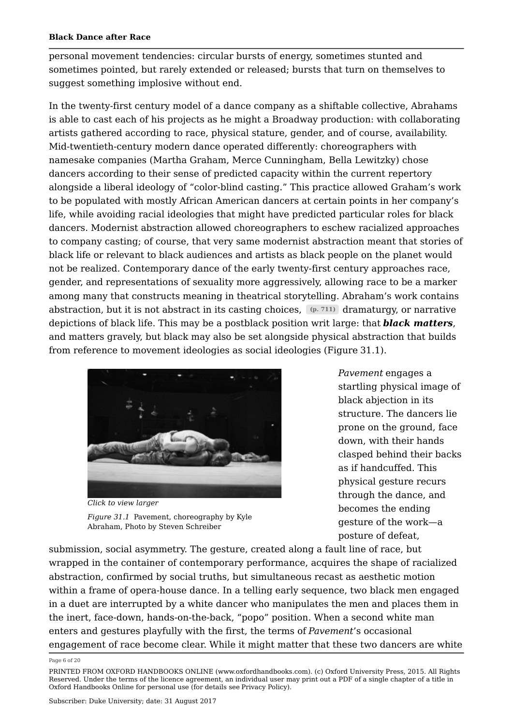personal movement tendencies: circular bursts of energy, sometimes stunted and sometimes pointed, but rarely extended or released; bursts that turn on themselves to suggest something implosive without end.

In the twenty-first century model of a dance company as a shiftable collective, Abrahams is able to cast each of his projects as he might a Broadway production: with collaborating artists gathered according to race, physical stature, gender, and of course, availability. Mid-twentieth-century modern dance operated differently: choreographers with namesake companies (Martha Graham, Merce Cunningham, Bella Lewitzky) chose dancers according to their sense of predicted capacity within the current repertory alongside a liberal ideology of "color-blind casting." This practice allowed Graham's work to be populated with mostly African American dancers at certain points in her company's life, while avoiding racial ideologies that might have predicted particular roles for black dancers. Modernist abstraction allowed choreographers to eschew racialized approaches to company casting; of course, that very same modernist abstraction meant that stories of black life or relevant to black audiences and artists as black people on the planet would not be realized. Contemporary dance of the early twenty-first century approaches race, gender, and representations of sexuality more aggressively, allowing race to be a marker among many that constructs meaning in theatrical storytelling. Abraham's work contains abstraction, but it is not abstract in its casting choices, <u>(p. 711)</u> dramaturgy, or narrative depictions of black life. This may be a postblack position writ large: that *black matters*, and matters gravely, but black may also be set alongside physical abstraction that builds from reference to movement ideologies as social ideologies (Figure 31.1).



*Figure 31.1* Pavement, choreography by Kyle Abraham, Photo by Steven Schreiber

*Pavement* engages a startling physical image of black abjection in its structure. The dancers lie prone on the ground, face down, with their hands clasped behind their backs as if handcuffed. This physical gesture recurs through the dance, and becomes the ending gesture of the work—a posture of defeat,

submission, social asymmetry. The gesture, created along a fault line of race, but wrapped in the container of contemporary performance, acquires the shape of racialized abstraction, confirmed by social truths, but simultaneous recast as aesthetic motion within a frame of opera-house dance. In a telling early sequence, two black men engaged in a duet are interrupted by a white dancer who manipulates the men and places them in the inert, face-down, hands-on-the-back, "popo" position. When a second white man enters and gestures playfully with the first, the terms of *Pavement*'s occasional engagement of race become clear. While it might matter that these two dancers are white

Page 6 of 20

PRINTED FROM OXFORD HANDBOOKS ONLINE (www.oxfordhandbooks.com). (c) Oxford University Press, 2015. All Rights Reserved. Under the terms of the licence agreement, an individual user may print out a PDF of a single chapter of a title in Oxford Handbooks Online for personal use (for details see Privacy Policy).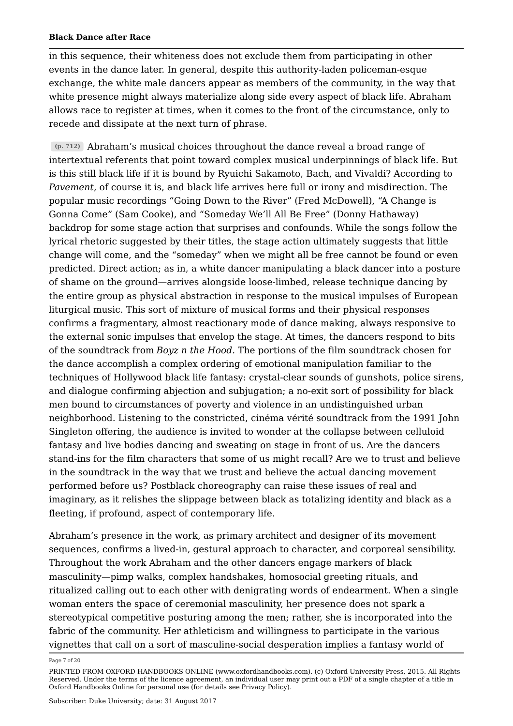in this sequence, their whiteness does not exclude them from participating in other events in the dance later. In general, despite this authority-laden policeman-esque exchange, the white male dancers appear as members of the community, in the way that white presence might always materialize along side every aspect of black life. Abraham allows race to register at times, when it comes to the front of the circumstance, only to recede and dissipate at the next turn of phrase.

Abraham's musical choices throughout the dance reveal a broad range of **(p. 712)** intertextual referents that point toward complex musical underpinnings of black life. But is this still black life if it is bound by Ryuichi Sakamoto, Bach, and Vivaldi? According to *Pavement*, of course it is, and black life arrives here full or irony and misdirection. The popular music recordings "Going Down to the River" (Fred McDowell), "A Change is Gonna Come" (Sam Cooke), and "Someday We'll All Be Free" (Donny Hathaway) backdrop for some stage action that surprises and confounds. While the songs follow the lyrical rhetoric suggested by their titles, the stage action ultimately suggests that little change will come, and the "someday" when we might all be free cannot be found or even predicted. Direct action; as in, a white dancer manipulating a black dancer into a posture of shame on the ground—arrives alongside loose-limbed, release technique dancing by the entire group as physical abstraction in response to the musical impulses of European liturgical music. This sort of mixture of musical forms and their physical responses confirms a fragmentary, almost reactionary mode of dance making, always responsive to the external sonic impulses that envelop the stage. At times, the dancers respond to bits of the soundtrack from *Boyz n the Hood*. The portions of the film soundtrack chosen for the dance accomplish a complex ordering of emotional manipulation familiar to the techniques of Hollywood black life fantasy: crystal-clear sounds of gunshots, police sirens, and dialogue confirming abjection and subjugation; a no-exit sort of possibility for black men bound to circumstances of poverty and violence in an undistinguished urban neighborhood. Listening to the constricted, cinéma vérité soundtrack from the 1991 John Singleton offering, the audience is invited to wonder at the collapse between celluloid fantasy and live bodies dancing and sweating on stage in front of us. Are the dancers stand-ins for the film characters that some of us might recall? Are we to trust and believe in the soundtrack in the way that we trust and believe the actual dancing movement performed before us? Postblack choreography can raise these issues of real and imaginary, as it relishes the slippage between black as totalizing identity and black as a fleeting, if profound, aspect of contemporary life.

Abraham's presence in the work, as primary architect and designer of its movement sequences, confirms a lived-in, gestural approach to character, and corporeal sensibility. Throughout the work Abraham and the other dancers engage markers of black masculinity—pimp walks, complex handshakes, homosocial greeting rituals, and ritualized calling out to each other with denigrating words of endearment. When a single woman enters the space of ceremonial masculinity, her presence does not spark a stereotypical competitive posturing among the men; rather, she is incorporated into the fabric of the community. Her athleticism and willingness to participate in the various vignettes that call on a sort of masculine-social desperation implies a fantasy world of

Page 7 of 20

PRINTED FROM OXFORD HANDBOOKS ONLINE (www.oxfordhandbooks.com). (c) Oxford University Press, 2015. All Rights Reserved. Under the terms of the licence agreement, an individual user may print out a PDF of a single chapter of a title in Oxford Handbooks Online for personal use (for details see Privacy Policy).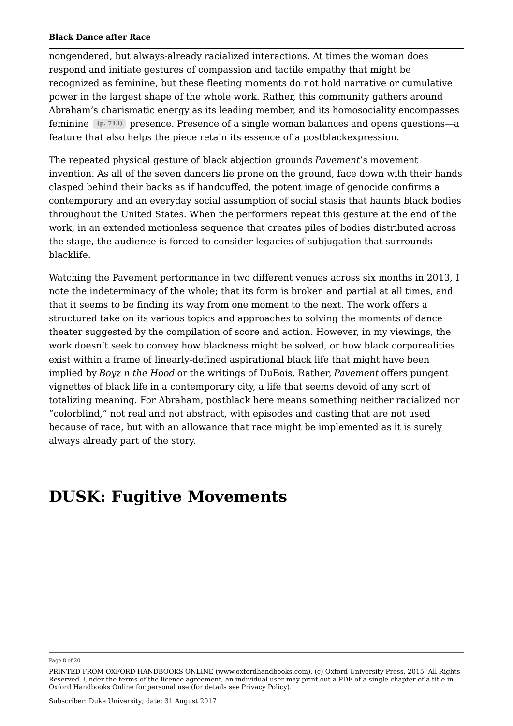nongendered, but always-already racialized interactions. At times the woman does respond and initiate gestures of compassion and tactile empathy that might be recognized as feminine, but these fleeting moments do not hold narrative or cumulative power in the largest shape of the whole work. Rather, this community gathers around Abraham's charismatic energy as its leading member, and its homosociality encompasses feminine (p. 713) presence. Presence of a single woman balances and opens questions—a feature that also helps the piece retain its essence of a postblackexpression.

The repeated physical gesture of black abjection grounds *Pavement*'s movement invention. As all of the seven dancers lie prone on the ground, face down with their hands clasped behind their backs as if handcuffed, the potent image of genocide confirms a contemporary and an everyday social assumption of social stasis that haunts black bodies throughout the United States. When the performers repeat this gesture at the end of the work, in an extended motionless sequence that creates piles of bodies distributed across the stage, the audience is forced to consider legacies of subjugation that surrounds blacklife.

Watching the Pavement performance in two different venues across six months in 2013, I note the indeterminacy of the whole; that its form is broken and partial at all times, and that it seems to be finding its way from one moment to the next. The work offers a structured take on its various topics and approaches to solving the moments of dance theater suggested by the compilation of score and action. However, in my viewings, the work doesn't seek to convey how blackness might be solved, or how black corporealities exist within a frame of linearly-defined aspirational black life that might have been implied by *Boyz n the Hood* or the writings of DuBois. Rather, *Pavement* offers pungent vignettes of black life in a contemporary city, a life that seems devoid of any sort of totalizing meaning. For Abraham, postblack here means something neither racialized nor "colorblind," not real and not abstract, with episodes and casting that are not used because of race, but with an allowance that race might be implemented as it is surely always already part of the story.

## **DUSK: Fugitive Movements**

Page 8 of 20

PRINTED FROM OXFORD HANDBOOKS ONLINE (www.oxfordhandbooks.com). (c) Oxford University Press, 2015. All Rights Reserved. Under the terms of the licence agreement, an individual user may print out a PDF of a single chapter of a title in Oxford Handbooks Online for personal use (for details see Privacy Policy).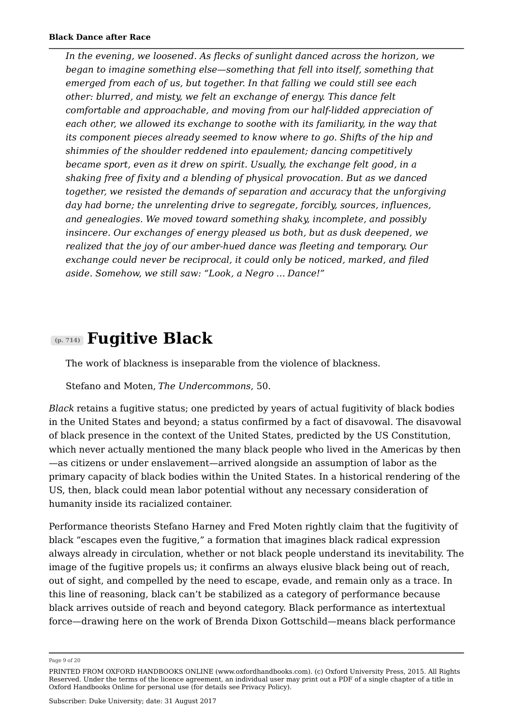*In the evening, we loosened. As flecks of sunlight danced across the horizon, we began to imagine something else—something that fell into itself, something that emerged from each of us, but together. In that falling we could still see each other: blurred, and misty, we felt an exchange of energy. This dance felt comfortable and approachable, and moving from our half-lidded appreciation of each other, we allowed its exchange to soothe with its familiarity, in the way that its component pieces already seemed to know where to go. Shifts of the hip and shimmies of the shoulder reddened into epaulement; dancing competitively became sport, even as it drew on spirit. Usually, the exchange felt good, in a shaking free of fixity and a blending of physical provocation. But as we danced together, we resisted the demands of separation and accuracy that the unforgiving day had borne; the unrelenting drive to segregate, forcibly, sources, influences, and genealogies. We moved toward something shaky, incomplete, and possibly insincere. Our exchanges of energy pleased us both, but as dusk deepened, we realized that the joy of our amber-hued dance was fleeting and temporary. Our exchange could never be reciprocal, it could only be noticed, marked, and filed aside. Somehow, we still saw: "Look, a Negro* … *Dance!"*

### **Fugitive Black (p. 714)**

The work of blackness is inseparable from the violence of blackness.

Stefano and Moten, *The Undercommons*, 50.

*Black* retains a fugitive status; one predicted by years of actual fugitivity of black bodies in the United States and beyond; a status confirmed by a fact of disavowal. The disavowal of black presence in the context of the United States, predicted by the US Constitution, which never actually mentioned the many black people who lived in the Americas by then —as citizens or under enslavement—arrived alongside an assumption of labor as the primary capacity of black bodies within the United States. In a historical rendering of the US, then, black could mean labor potential without any necessary consideration of humanity inside its racialized container.

Performance theorists Stefano Harney and Fred Moten rightly claim that the fugitivity of black "escapes even the fugitive," a formation that imagines black radical expression always already in circulation, whether or not black people understand its inevitability. The image of the fugitive propels us; it confirms an always elusive black being out of reach, out of sight, and compelled by the need to escape, evade, and remain only as a trace. In this line of reasoning, black can't be stabilized as a category of performance because black arrives outside of reach and beyond category. Black performance as intertextual force—drawing here on the work of Brenda Dixon Gottschild—means black performance

Page 9 of 20

PRINTED FROM OXFORD HANDBOOKS ONLINE (www.oxfordhandbooks.com). (c) Oxford University Press, 2015. All Rights Reserved. Under the terms of the licence agreement, an individual user may print out a PDF of a single chapter of a title in Oxford Handbooks Online for personal use (for details see Privacy Policy).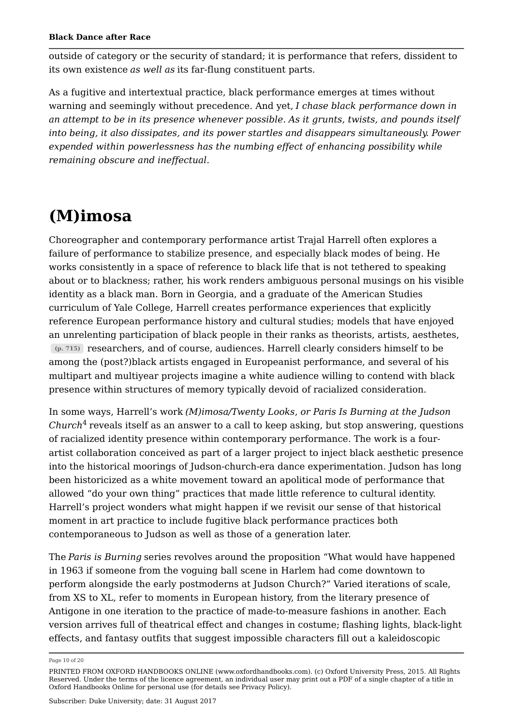outside of category or the security of standard; it is performance that refers, dissident to its own existence *as well as* its far-flung constituent parts.

As a fugitive and intertextual practice, black performance emerges at times without warning and seemingly without precedence. And yet, *I chase black performance down in an attempt to be in its presence whenever possible. As it grunts, twists, and pounds itself into being, it also dissipates, and its power startles and disappears simultaneously. Power expended within powerlessness has the numbing effect of enhancing possibility while remaining obscure and ineffectual.*

## **(M)imosa**

Choreographer and contemporary performance artist Trajal Harrell often explores a failure of performance to stabilize presence, and especially black modes of being. He works consistently in a space of reference to black life that is not tethered to speaking about or to blackness; rather, his work renders ambiguous personal musings on his visible identity as a black man. Born in Georgia, and a graduate of the American Studies curriculum of Yale College, Harrell creates performance experiences that explicitly reference European performance history and cultural studies; models that have enjoyed an unrelenting participation of black people in their ranks as theorists, artists, aesthetes, researchers, and of course, audiences. Harrell clearly considers himself to be **(p. 715)** among the (post?)black artists engaged in Europeanist performance, and several of his multipart and multiyear projects imagine a white audience willing to contend with black presence within structures of memory typically devoid of racialized consideration.

In some ways, Harrell's work *(M)imosa/Twenty Looks, or Paris Is Burning at the Judson Church<sup>4</sup> reveals itself as an answer to a call to keep asking, but stop answering, questions* of racialized identity presence within contemporary performance. The work is a fourartist collaboration conceived as part of a larger project to inject black aesthetic presence into the historical moorings of Judson-church-era dance experimentation. Judson has long been historicized as a white movement toward an apolitical mode of performance that allowed "do your own thing" practices that made little reference to cultural identity. Harrell's project wonders what might happen if we revisit our sense of that historical moment in art practice to include fugitive black performance practices both contemporaneous to Judson as well as those of a generation later.

The *Paris is Burning* series revolves around the proposition "What would have happened in 1963 if someone from the voguing ball scene in Harlem had come downtown to perform alongside the early postmoderns at Judson Church?" Varied iterations of scale, from XS to XL, refer to moments in European history, from the literary presence of Antigone in one iteration to the practice of made-to-measure fashions in another. Each version arrives full of theatrical effect and changes in costume; flashing lights, black-light effects, and fantasy outfits that suggest impossible characters fill out a kaleidoscopic

Page 10 of 20

PRINTED FROM OXFORD HANDBOOKS ONLINE (www.oxfordhandbooks.com). (c) Oxford University Press, 2015. All Rights Reserved. Under the terms of the licence agreement, an individual user may print out a PDF of a single chapter of a title in Oxford Handbooks Online for personal use (for details see Privacy Policy).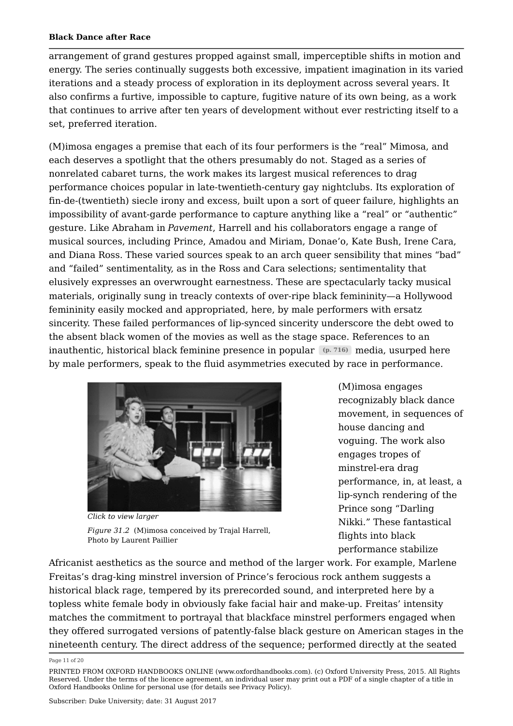arrangement of grand gestures propped against small, imperceptible shifts in motion and energy. The series continually suggests both excessive, impatient imagination in its varied iterations and a steady process of exploration in its deployment across several years. It also confirms a furtive, impossible to capture, fugitive nature of its own being, as a work that continues to arrive after ten years of development without ever restricting itself to a set, preferred iteration.

(M)imosa engages a premise that each of its four performers is the "real" Mimosa, and each deserves a spotlight that the others presumably do not. Staged as a series of nonrelated cabaret turns, the work makes its largest musical references to drag performance choices popular in late-twentieth-century gay nightclubs. Its exploration of fin-de-(twentieth) siecle irony and excess, built upon a sort of queer failure, highlights an impossibility of avant-garde performance to capture anything like a "real" or "authentic" gesture. Like Abraham in *Pavement*, Harrell and his collaborators engage a range of musical sources, including Prince, Amadou and Miriam, Donae'o, Kate Bush, Irene Cara, and Diana Ross. These varied sources speak to an arch queer sensibility that mines "bad" and "failed" sentimentality, as in the Ross and Cara selections; sentimentality that elusively expresses an overwrought earnestness. These are spectacularly tacky musical materials, originally sung in treacly contexts of over-ripe black femininity—a Hollywood femininity easily mocked and appropriated, here, by male performers with ersatz sincerity. These failed performances of lip-synced sincerity underscore the debt owed to the absent black women of the movies as well as the stage space. References to an inauthentic, historical black feminine presence in popular (p. 716) media, usurped here by male performers, speak to the fluid asymmetries executed by race in performance.



*Click to view larger Figure 31.2* (M)imosa conceived by Trajal Harrell, Photo by Laurent Paillier

(M)imosa engages recognizably black dance movement, in sequences of house dancing and voguing. The work also engages tropes of minstrel-era drag performance, in, at least, a lip-synch rendering of the Prince song "Darling Nikki." These fantastical flights into black performance stabilize

Africanist aesthetics as the source and method of the larger work. For example, Marlene Freitas's drag-king minstrel inversion of Prince's ferocious rock anthem suggests a historical black rage, tempered by its prerecorded sound, and interpreted here by a topless white female body in obviously fake facial hair and make-up. Freitas' intensity matches the commitment to portrayal that blackface minstrel performers engaged when they offered surrogated versions of patently-false black gesture on American stages in the nineteenth century. The direct address of the sequence; performed directly at the seated

Page 11 of 20

PRINTED FROM OXFORD HANDBOOKS ONLINE (www.oxfordhandbooks.com). (c) Oxford University Press, 2015. All Rights Reserved. Under the terms of the licence agreement, an individual user may print out a PDF of a single chapter of a title in Oxford Handbooks Online for personal use (for details see Privacy Policy).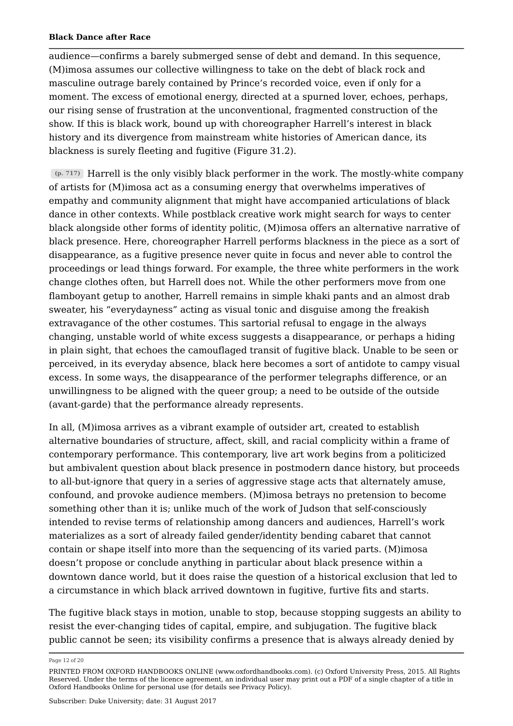audience—confirms a barely submerged sense of debt and demand. In this sequence, (M)imosa assumes our collective willingness to take on the debt of black rock and masculine outrage barely contained by Prince's recorded voice, even if only for a moment. The excess of emotional energy, directed at a spurned lover, echoes, perhaps, our rising sense of frustration at the unconventional, fragmented construction of the show. If this is black work, bound up with choreographer Harrell's interest in black history and its divergence from mainstream white histories of American dance, its blackness is surely fleeting and fugitive (Figure 31.2).

Harrell is the only visibly black performer in the work. The mostly-white company **(p. 717)** of artists for (M)imosa act as a consuming energy that overwhelms imperatives of empathy and community alignment that might have accompanied articulations of black dance in other contexts. While postblack creative work might search for ways to center black alongside other forms of identity politic, (M)imosa offers an alternative narrative of black presence. Here, choreographer Harrell performs blackness in the piece as a sort of disappearance, as a fugitive presence never quite in focus and never able to control the proceedings or lead things forward. For example, the three white performers in the work change clothes often, but Harrell does not. While the other performers move from one flamboyant getup to another, Harrell remains in simple khaki pants and an almost drab sweater, his "everydayness" acting as visual tonic and disguise among the freakish extravagance of the other costumes. This sartorial refusal to engage in the always changing, unstable world of white excess suggests a disappearance, or perhaps a hiding in plain sight, that echoes the camouflaged transit of fugitive black. Unable to be seen or perceived, in its everyday absence, black here becomes a sort of antidote to campy visual excess. In some ways, the disappearance of the performer telegraphs difference, or an unwillingness to be aligned with the queer group; a need to be outside of the outside (avant-garde) that the performance already represents.

In all, (M)imosa arrives as a vibrant example of outsider art, created to establish alternative boundaries of structure, affect, skill, and racial complicity within a frame of contemporary performance. This contemporary, live art work begins from a politicized but ambivalent question about black presence in postmodern dance history, but proceeds to all-but-ignore that query in a series of aggressive stage acts that alternately amuse, confound, and provoke audience members. (M)imosa betrays no pretension to become something other than it is; unlike much of the work of Judson that self-consciously intended to revise terms of relationship among dancers and audiences, Harrell's work materializes as a sort of already failed gender/identity bending cabaret that cannot contain or shape itself into more than the sequencing of its varied parts. (M)imosa doesn't propose or conclude anything in particular about black presence within a downtown dance world, but it does raise the question of a historical exclusion that led to a circumstance in which black arrived downtown in fugitive, furtive fits and starts.

The fugitive black stays in motion, unable to stop, because stopping suggests an ability to resist the ever-changing tides of capital, empire, and subjugation. The fugitive black public cannot be seen; its visibility confirms a presence that is always already denied by

Page 12 of 20

PRINTED FROM OXFORD HANDBOOKS ONLINE (www.oxfordhandbooks.com). (c) Oxford University Press, 2015. All Rights Reserved. Under the terms of the licence agreement, an individual user may print out a PDF of a single chapter of a title in Oxford Handbooks Online for personal use (for details see Privacy Policy).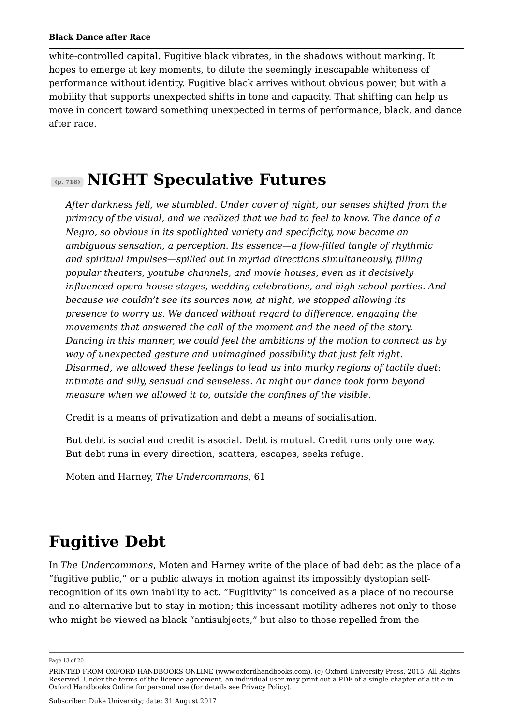white-controlled capital. Fugitive black vibrates, in the shadows without marking. It hopes to emerge at key moments, to dilute the seemingly inescapable whiteness of performance without identity. Fugitive black arrives without obvious power, but with a mobility that supports unexpected shifts in tone and capacity. That shifting can help us move in concert toward something unexpected in terms of performance, black, and dance after race.

## **NIGHT Speculative Futures (p. 718)**

*After darkness fell, we stumbled. Under cover of night, our senses shifted from the primacy of the visual, and we realized that we had to feel to know. The dance of a Negro, so obvious in its spotlighted variety and specificity, now became an ambiguous sensation, a perception. Its essence—a flow-filled tangle of rhythmic and spiritual impulses—spilled out in myriad directions simultaneously, filling popular theaters, youtube channels, and movie houses, even as it decisively influenced opera house stages, wedding celebrations, and high school parties. And because we couldn't see its sources now, at night, we stopped allowing its presence to worry us. We danced without regard to difference, engaging the movements that answered the call of the moment and the need of the story. Dancing in this manner, we could feel the ambitions of the motion to connect us by way of unexpected gesture and unimagined possibility that just felt right. Disarmed, we allowed these feelings to lead us into murky regions of tactile duet: intimate and silly, sensual and senseless. At night our dance took form beyond measure when we allowed it to, outside the confines of the visible.*

Credit is a means of privatization and debt a means of socialisation.

But debt is social and credit is asocial. Debt is mutual. Credit runs only one way. But debt runs in every direction, scatters, escapes, seeks refuge.

Moten and Harney, *The Undercommons*, 61

# **Fugitive Debt**

In *The Undercommons*, Moten and Harney write of the place of bad debt as the place of a "fugitive public," or a public always in motion against its impossibly dystopian selfrecognition of its own inability to act. "Fugitivity" is conceived as a place of no recourse and no alternative but to stay in motion; this incessant motility adheres not only to those who might be viewed as black "antisubjects," but also to those repelled from the

Page 13 of 20

PRINTED FROM OXFORD HANDBOOKS ONLINE (www.oxfordhandbooks.com). (c) Oxford University Press, 2015. All Rights Reserved. Under the terms of the licence agreement, an individual user may print out a PDF of a single chapter of a title in Oxford Handbooks Online for personal use (for details see Privacy Policy).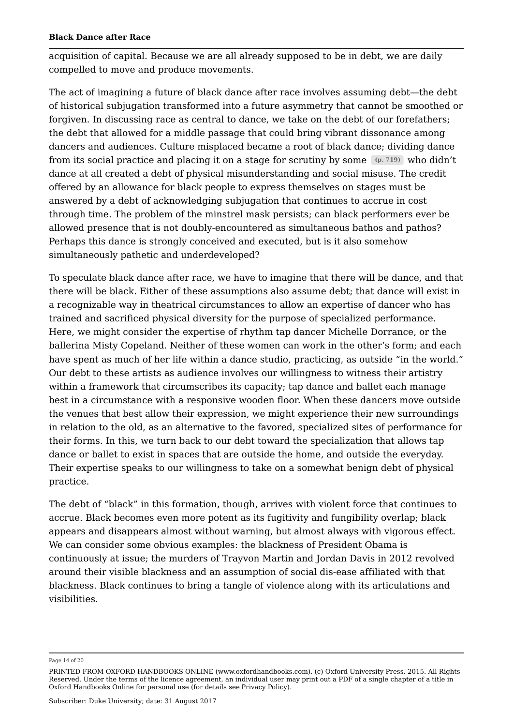acquisition of capital. Because we are all already supposed to be in debt, we are daily compelled to move and produce movements.

The act of imagining a future of black dance after race involves assuming debt—the debt of historical subjugation transformed into a future asymmetry that cannot be smoothed or forgiven. In discussing race as central to dance, we take on the debt of our forefathers; the debt that allowed for a middle passage that could bring vibrant dissonance among dancers and audiences. Culture misplaced became a root of black dance; dividing dance from its social practice and placing it on a stage for scrutiny by some  $(p. 719)$  who didn't dance at all created a debt of physical misunderstanding and social misuse. The credit offered by an allowance for black people to express themselves on stages must be answered by a debt of acknowledging subjugation that continues to accrue in cost through time. The problem of the minstrel mask persists; can black performers ever be allowed presence that is not doubly-encountered as simultaneous bathos and pathos? Perhaps this dance is strongly conceived and executed, but is it also somehow simultaneously pathetic and underdeveloped?

To speculate black dance after race, we have to imagine that there will be dance, and that there will be black. Either of these assumptions also assume debt; that dance will exist in a recognizable way in theatrical circumstances to allow an expertise of dancer who has trained and sacrificed physical diversity for the purpose of specialized performance. Here, we might consider the expertise of rhythm tap dancer Michelle Dorrance, or the ballerina Misty Copeland. Neither of these women can work in the other's form; and each have spent as much of her life within a dance studio, practicing, as outside "in the world." Our debt to these artists as audience involves our willingness to witness their artistry within a framework that circumscribes its capacity; tap dance and ballet each manage best in a circumstance with a responsive wooden floor. When these dancers move outside the venues that best allow their expression, we might experience their new surroundings in relation to the old, as an alternative to the favored, specialized sites of performance for their forms. In this, we turn back to our debt toward the specialization that allows tap dance or ballet to exist in spaces that are outside the home, and outside the everyday. Their expertise speaks to our willingness to take on a somewhat benign debt of physical practice.

The debt of "black" in this formation, though, arrives with violent force that continues to accrue. Black becomes even more potent as its fugitivity and fungibility overlap; black appears and disappears almost without warning, but almost always with vigorous effect. We can consider some obvious examples: the blackness of President Obama is continuously at issue; the murders of Trayvon Martin and Jordan Davis in 2012 revolved around their visible blackness and an assumption of social dis-ease affiliated with that blackness. Black continues to bring a tangle of violence along with its articulations and visibilities.

Page 14 of 20

PRINTED FROM OXFORD HANDBOOKS ONLINE (www.oxfordhandbooks.com). (c) Oxford University Press, 2015. All Rights Reserved. Under the terms of the licence agreement, an individual user may print out a PDF of a single chapter of a title in Oxford Handbooks Online for personal use (for details see Privacy Policy).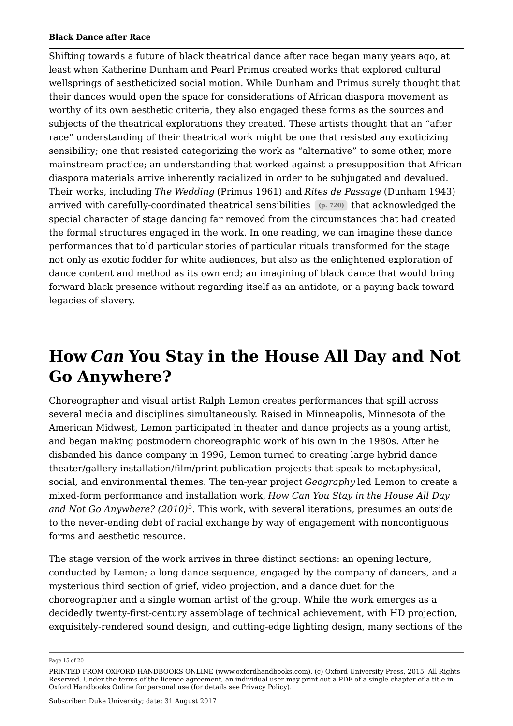Shifting towards a future of black theatrical dance after race began many years ago, at least when Katherine Dunham and Pearl Primus created works that explored cultural wellsprings of aestheticized social motion. While Dunham and Primus surely thought that their dances would open the space for considerations of African diaspora movement as worthy of its own aesthetic criteria, they also engaged these forms as the sources and subjects of the theatrical explorations they created. These artists thought that an "after race" understanding of their theatrical work might be one that resisted any exoticizing sensibility; one that resisted categorizing the work as "alternative" to some other, more mainstream practice; an understanding that worked against a presupposition that African diaspora materials arrive inherently racialized in order to be subjugated and devalued. Their works, including *The Wedding* (Primus 1961) and *Rites de Passage* (Dunham 1943) arrived with carefully-coordinated theatrical sensibilities (p. 720) that acknowledged the special character of stage dancing far removed from the circumstances that had created the formal structures engaged in the work. In one reading, we can imagine these dance performances that told particular stories of particular rituals transformed for the stage not only as exotic fodder for white audiences, but also as the enlightened exploration of dance content and method as its own end; an imagining of black dance that would bring forward black presence without regarding itself as an antidote, or a paying back toward legacies of slavery.

## **How** *Can* **You Stay in the House All Day and Not Go Anywhere?**

Choreographer and visual artist Ralph Lemon creates performances that spill across several media and disciplines simultaneously. Raised in Minneapolis, Minnesota of the American Midwest, Lemon participated in theater and dance projects as a young artist, and began making postmodern choreographic work of his own in the 1980s. After he disbanded his dance company in 1996, Lemon turned to creating large hybrid dance theater/gallery installation/film/print publication projects that speak to metaphysical, social, and environmental themes. The ten-year project *Geography* led Lemon to create a mixed-form performance and installation work, *How Can You Stay in the House All Day and Not Go Anywhere? (2010)*<sup>5</sup>. This work, with several iterations, presumes an outside to the never-ending debt of racial exchange by way of engagement with noncontiguous forms and aesthetic resource.

The stage version of the work arrives in three distinct sections: an opening lecture, conducted by Lemon; a long dance sequence, engaged by the company of dancers, and a mysterious third section of grief, video projection, and a dance duet for the choreographer and a single woman artist of the group. While the work emerges as a decidedly twenty-first-century assemblage of technical achievement, with HD projection, exquisitely-rendered sound design, and cutting-edge lighting design, many sections of the

Page 15 of 20

PRINTED FROM OXFORD HANDBOOKS ONLINE (www.oxfordhandbooks.com). (c) Oxford University Press, 2015. All Rights Reserved. Under the terms of the licence agreement, an individual user may print out a PDF of a single chapter of a title in Oxford Handbooks Online for personal use (for details see Privacy Policy).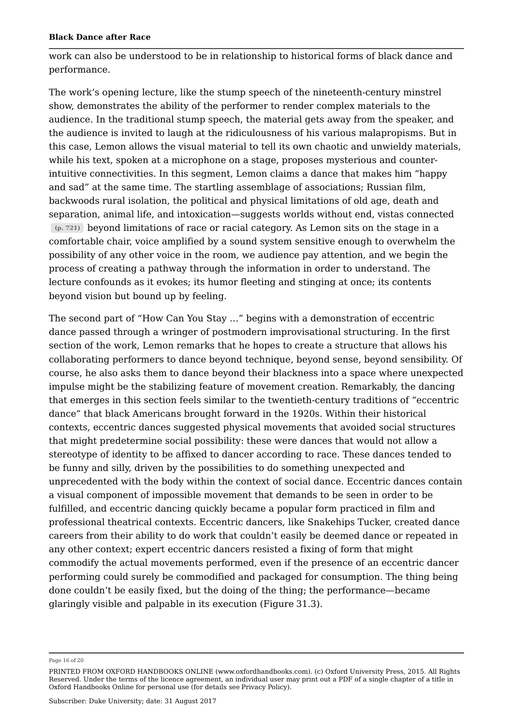work can also be understood to be in relationship to historical forms of black dance and performance.

The work's opening lecture, like the stump speech of the nineteenth-century minstrel show, demonstrates the ability of the performer to render complex materials to the audience. In the traditional stump speech, the material gets away from the speaker, and the audience is invited to laugh at the ridiculousness of his various malapropisms. But in this case, Lemon allows the visual material to tell its own chaotic and unwieldy materials, while his text, spoken at a microphone on a stage, proposes mysterious and counterintuitive connectivities. In this segment, Lemon claims a dance that makes him "happy and sad" at the same time. The startling assemblage of associations; Russian film, backwoods rural isolation, the political and physical limitations of old age, death and separation, animal life, and intoxication—suggests worlds without end, vistas connected beyond limitations of race or racial category. As Lemon sits on the stage in a **(p. 721)** comfortable chair, voice amplified by a sound system sensitive enough to overwhelm the possibility of any other voice in the room, we audience pay attention, and we begin the process of creating a pathway through the information in order to understand. The lecture confounds as it evokes; its humor fleeting and stinging at once; its contents beyond vision but bound up by feeling.

The second part of "How Can You Stay …" begins with a demonstration of eccentric dance passed through a wringer of postmodern improvisational structuring. In the first section of the work, Lemon remarks that he hopes to create a structure that allows his collaborating performers to dance beyond technique, beyond sense, beyond sensibility. Of course, he also asks them to dance beyond their blackness into a space where unexpected impulse might be the stabilizing feature of movement creation. Remarkably, the dancing that emerges in this section feels similar to the twentieth-century traditions of "eccentric dance" that black Americans brought forward in the 1920s. Within their historical contexts, eccentric dances suggested physical movements that avoided social structures that might predetermine social possibility: these were dances that would not allow a stereotype of identity to be affixed to dancer according to race. These dances tended to be funny and silly, driven by the possibilities to do something unexpected and unprecedented with the body within the context of social dance. Eccentric dances contain a visual component of impossible movement that demands to be seen in order to be fulfilled, and eccentric dancing quickly became a popular form practiced in film and professional theatrical contexts. Eccentric dancers, like Snakehips Tucker, created dance careers from their ability to do work that couldn't easily be deemed dance or repeated in any other context; expert eccentric dancers resisted a fixing of form that might commodify the actual movements performed, even if the presence of an eccentric dancer performing could surely be commodified and packaged for consumption. The thing being done couldn't be easily fixed, but the doing of the thing; the performance—became glaringly visible and palpable in its execution (Figure 31.3).

Page 16 of 20

PRINTED FROM OXFORD HANDBOOKS ONLINE (www.oxfordhandbooks.com). (c) Oxford University Press, 2015. All Rights Reserved. Under the terms of the licence agreement, an individual user may print out a PDF of a single chapter of a title in Oxford Handbooks Online for personal use (for details see Privacy Policy).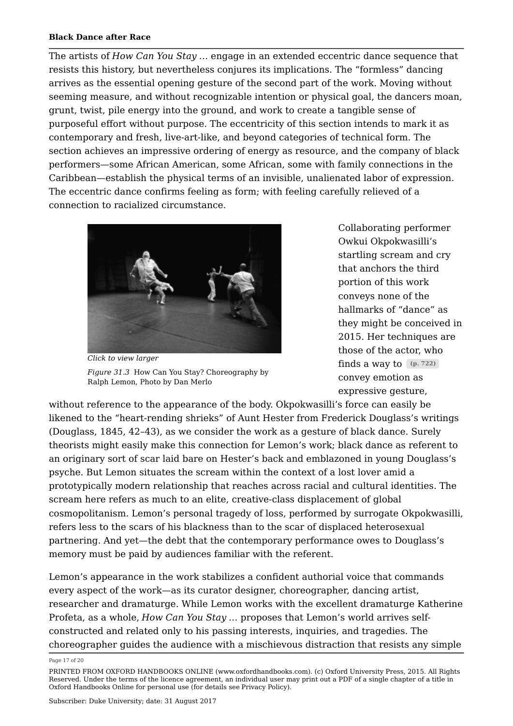The artists of *How Can You Stay* … engage in an extended eccentric dance sequence that resists this history, but nevertheless conjures its implications. The "formless" dancing arrives as the essential opening gesture of the second part of the work. Moving without seeming measure, and without recognizable intention or physical goal, the dancers moan, grunt, twist, pile energy into the ground, and work to create a tangible sense of purposeful effort without purpose. The eccentricity of this section intends to mark it as contemporary and fresh, live-art-like, and beyond categories of technical form. The section achieves an impressive ordering of energy as resource, and the company of black performers—some African American, some African, some with family connections in the Caribbean—establish the physical terms of an invisible, unalienated labor of expression. The eccentric dance confirms feeling as form; with feeling carefully relieved of a connection to racialized circumstance.



*Click to view larger Figure 31.3* How Can You Stay? Choreography by Ralph Lemon, Photo by Dan Merlo

Collaborating performer Owkui Okpokwasilli's startling scream and cry that anchors the third portion of this work conveys none of the hallmarks of "dance" as they might be conceived in 2015. Her techniques are those of the actor, who finds a way to **(p. 722)** convey emotion as expressive gesture,

without reference to the appearance of the body. Okpokwasilli's force can easily be likened to the "heart-rending shrieks" of Aunt Hester from Frederick Douglass's writings (Douglass, 1845, 42–43), as we consider the work as a gesture of black dance. Surely theorists might easily make this connection for Lemon's work; black dance as referent to an originary sort of scar laid bare on Hester's back and emblazoned in young Douglass's psyche. But Lemon situates the scream within the context of a lost lover amid a prototypically modern relationship that reaches across racial and cultural identities. The scream here refers as much to an elite, creative-class displacement of global cosmopolitanism. Lemon's personal tragedy of loss, performed by surrogate Okpokwasilli, refers less to the scars of his blackness than to the scar of displaced heterosexual partnering. And yet—the debt that the contemporary performance owes to Douglass's memory must be paid by audiences familiar with the referent.

Lemon's appearance in the work stabilizes a confident authorial voice that commands every aspect of the work—as its curator designer, choreographer, dancing artist, researcher and dramaturge. While Lemon works with the excellent dramaturge Katherine Profeta, as a whole, *How Can You Stay* … proposes that Lemon's world arrives selfconstructed and related only to his passing interests, inquiries, and tragedies. The choreographer guides the audience with a mischievous distraction that resists any simple

Page 17 of 20

PRINTED FROM OXFORD HANDBOOKS ONLINE (www.oxfordhandbooks.com). (c) Oxford University Press, 2015. All Rights Reserved. Under the terms of the licence agreement, an individual user may print out a PDF of a single chapter of a title in Oxford Handbooks Online for personal use (for details see Privacy Policy).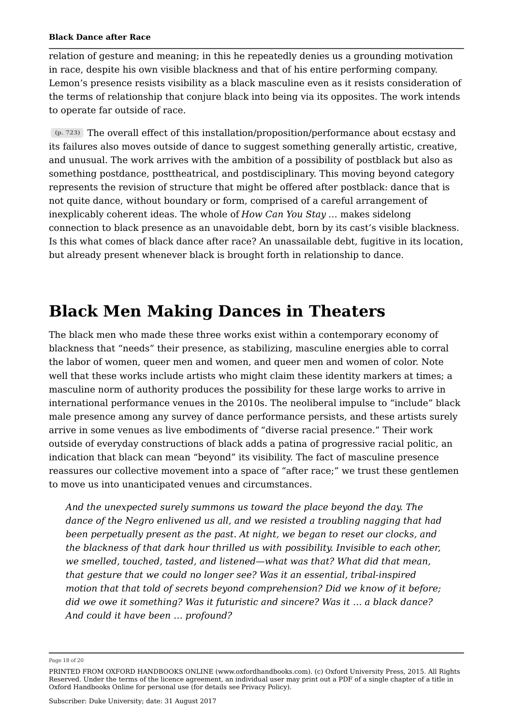relation of gesture and meaning; in this he repeatedly denies us a grounding motivation in race, despite his own visible blackness and that of his entire performing company. Lemon's presence resists visibility as a black masculine even as it resists consideration of the terms of relationship that conjure black into being via its opposites. The work intends to operate far outside of race.

The overall effect of this installation/proposition/performance about ecstasy and **(p. 723)** its failures also moves outside of dance to suggest something generally artistic, creative, and unusual. The work arrives with the ambition of a possibility of postblack but also as something postdance, posttheatrical, and postdisciplinary. This moving beyond category represents the revision of structure that might be offered after postblack: dance that is not quite dance, without boundary or form, comprised of a careful arrangement of inexplicably coherent ideas. The whole of *How Can You Stay* … makes sidelong connection to black presence as an unavoidable debt, born by its cast's visible blackness. Is this what comes of black dance after race? An unassailable debt, fugitive in its location, but already present whenever black is brought forth in relationship to dance.

### **Black Men Making Dances in Theaters**

The black men who made these three works exist within a contemporary economy of blackness that "needs" their presence, as stabilizing, masculine energies able to corral the labor of women, queer men and women, and queer men and women of color. Note well that these works include artists who might claim these identity markers at times; a masculine norm of authority produces the possibility for these large works to arrive in international performance venues in the 2010s. The neoliberal impulse to "include" black male presence among any survey of dance performance persists, and these artists surely arrive in some venues as live embodiments of "diverse racial presence." Their work outside of everyday constructions of black adds a patina of progressive racial politic, an indication that black can mean "beyond" its visibility. The fact of masculine presence reassures our collective movement into a space of "after race;" we trust these gentlemen to move us into unanticipated venues and circumstances.

*And the unexpected surely summons us toward the place beyond the day. The dance of the Negro enlivened us all, and we resisted a troubling nagging that had been perpetually present as the past. At night, we began to reset our clocks, and the blackness of that dark hour thrilled us with possibility. Invisible to each other, we smelled, touched, tasted, and listened—what was that? What did that mean, that gesture that we could no longer see? Was it an essential, tribal-inspired motion that that told of secrets beyond comprehension? Did we know of it before; did we owe it something? Was it futuristic and sincere? Was it … a black dance? And could it have been … profound?*

Page 18 of 20

PRINTED FROM OXFORD HANDBOOKS ONLINE (www.oxfordhandbooks.com). (c) Oxford University Press, 2015. All Rights Reserved. Under the terms of the licence agreement, an individual user may print out a PDF of a single chapter of a title in Oxford Handbooks Online for personal use (for details see Privacy Policy).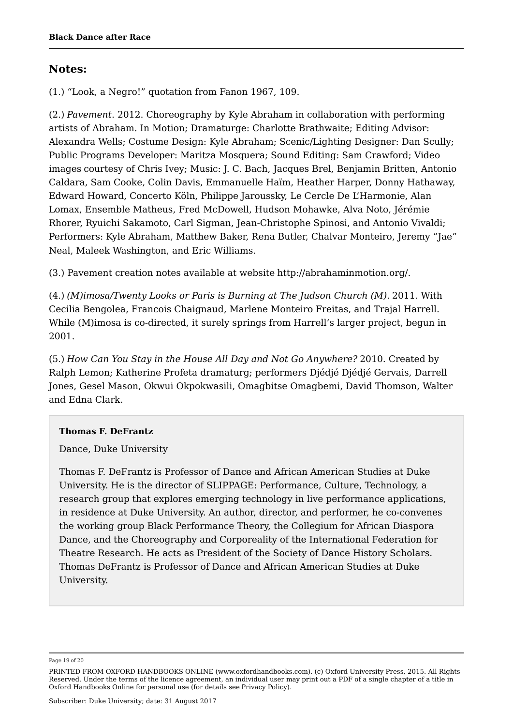### **Notes:**

(1.) "Look, a Negro!" quotation from Fanon 1967, 109.

(2.) *Pavement*. 2012. Choreography by Kyle Abraham in collaboration with performing artists of Abraham. In Motion; Dramaturge: Charlotte Brathwaite; Editing Advisor: Alexandra Wells; Costume Design: Kyle Abraham; Scenic/Lighting Designer: Dan Scully; Public Programs Developer: Maritza Mosquera; Sound Editing: Sam Crawford; Video images courtesy of Chris Ivey; Music: J. C. Bach, Jacques Brel, Benjamin Britten, Antonio Caldara, Sam Cooke, Colin Davis, Emmanuelle Haïm, Heather Harper, Donny Hathaway, Edward Howard, Concerto Köln, Philippe Jaroussky, Le Cercle De L'Harmonie, Alan Lomax, Ensemble Matheus, Fred McDowell, Hudson Mohawke, Alva Noto, Jérémie Rhorer, Ryuichi Sakamoto, Carl Sigman, Jean-Christophe Spinosi, and Antonio Vivaldi; Performers: Kyle Abraham, Matthew Baker, Rena Butler, Chalvar Monteiro, Jeremy "Jae" Neal, Maleek Washington, and Eric Williams.

(3.) Pavement creation notes available at website http://abrahaminmotion.org/.

(4.) *(M)imosa/Twenty Looks or Paris is Burning at The Judson Church (M).* 2011. With Cecilia Bengolea, Francois Chaignaud, Marlene Monteiro Freitas, and Trajal Harrell. While (M)imosa is co-directed, it surely springs from Harrell's larger project, begun in 2001.

(5.) *How Can You Stay in the House All Day and Not Go Anywhere?* 2010. Created by Ralph Lemon; Katherine Profeta dramaturg; performers Djédjé Djédjé Gervais, Darrell Jones, Gesel Mason, Okwui Okpokwasili, Omagbitse Omagbemi, David Thomson, Walter and Edna Clark.

### **Thomas F. DeFrantz**

Dance, Duke University

Thomas F. DeFrantz is Professor of Dance and African American Studies at Duke University. He is the director of SLIPPAGE: Performance, Culture, Technology, a research group that explores emerging technology in live performance applications, in residence at Duke University. An author, director, and performer, he co-convenes the working group Black Performance Theory, the Collegium for African Diaspora Dance, and the Choreography and Corporeality of the International Federation for Theatre Research. He acts as President of the Society of Dance History Scholars. Thomas DeFrantz is Professor of Dance and African American Studies at Duke University.

Page 19 of 20

PRINTED FROM OXFORD HANDBOOKS ONLINE (www.oxfordhandbooks.com). (c) Oxford University Press, 2015. All Rights Reserved. Under the terms of the licence agreement, an individual user may print out a PDF of a single chapter of a title in Oxford Handbooks Online for personal use (for details see Privacy Policy).